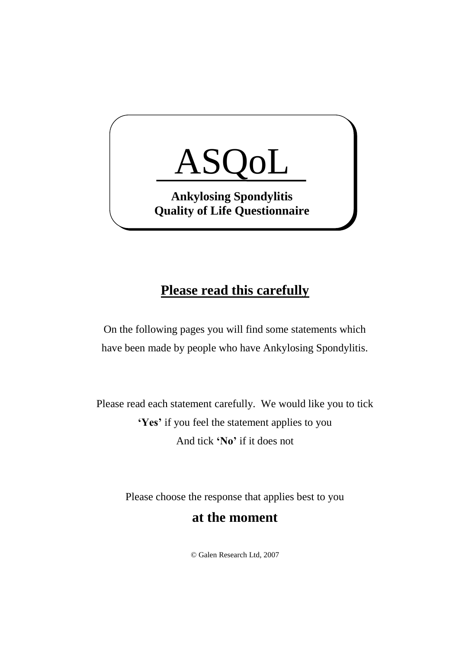

## **Please read this carefully**

On the following pages you will find some statements which have been made by people who have Ankylosing Spondylitis.

Please read each statement carefully. We would like you to tick **'Yes'** if you feel the statement applies to you And tick **'No'** if it does not

Please choose the response that applies best to you

## **at the moment**

© Galen Research Ltd, 2007